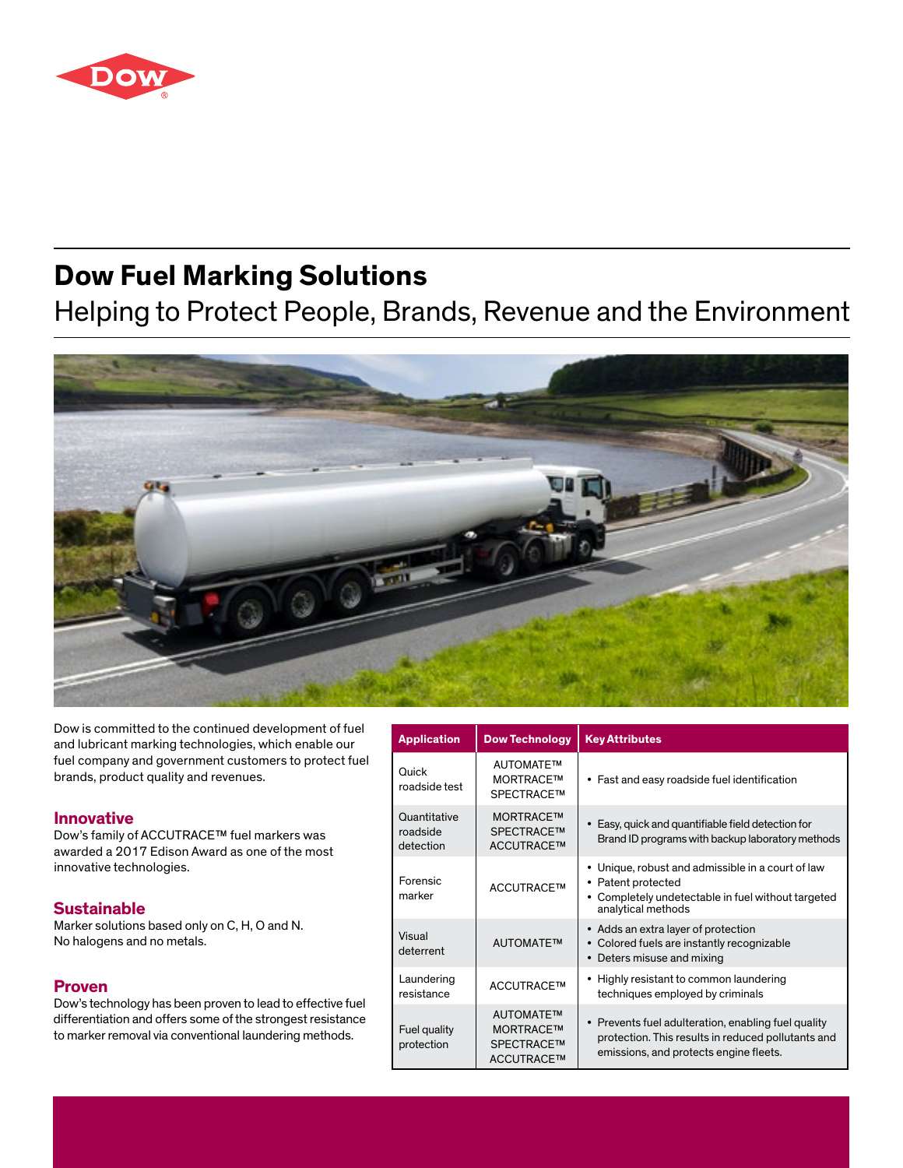

# **Dow Fuel Marking Solutions**

Helping to Protect People, Brands, Revenue and the Environment



Dow is committed to the continued development of fuel and lubricant marking technologies, which enable our fuel company and government customers to protect fuel brands, product quality and revenues.

### **Innovative**

Dow's family of ACCUTRACE™ fuel markers was awarded a 2017 Edison Award as one of the most innovative technologies.

## **Sustainable**

Marker solutions based only on C, H, O and N. No halogens and no metals.

### **Proven**

Dow's technology has been proven to lead to effective fuel differentiation and offers some of the strongest resistance to marker removal via conventional laundering methods.

| <b>Application</b>                    | <b>Dow Technology</b>                                              | <b>Key Attributes</b>                                                                                                                                |
|---------------------------------------|--------------------------------------------------------------------|------------------------------------------------------------------------------------------------------------------------------------------------------|
| Quick<br>roadside test                | AUTOMATE™<br><b>MORTRACE™</b><br><b>SPECTRACE™</b>                 | • Fast and easy roadside fuel identification                                                                                                         |
| Quantitative<br>roadside<br>detection | <b>MORTRACETM</b><br>SPECTRACE™<br>ACCUTRACE™                      | • Easy, quick and quantifiable field detection for<br>Brand ID programs with backup laboratory methods                                               |
| Forensic<br>marker                    | ACCUTRACE™                                                         | • Unique, robust and admissible in a court of law<br>Patent protected<br>٠<br>Completely undetectable in fuel without targeted<br>analytical methods |
| Visual<br>deterrent                   | <b>AUTOMATE™</b>                                                   | • Adds an extra layer of protection<br>• Colored fuels are instantly recognizable<br>• Deters misuse and mixing                                      |
| Laundering<br>resistance              | ACCUTRACE™                                                         | • Highly resistant to common laundering<br>techniques employed by criminals                                                                          |
| Fuel quality<br>protection            | <b>AUTOMATETM</b><br><b>MORTRACETM</b><br>SPECTRACE™<br>ACCUTRACE™ | • Prevents fuel adulteration, enabling fuel quality<br>protection. This results in reduced pollutants and<br>emissions, and protects engine fleets.  |